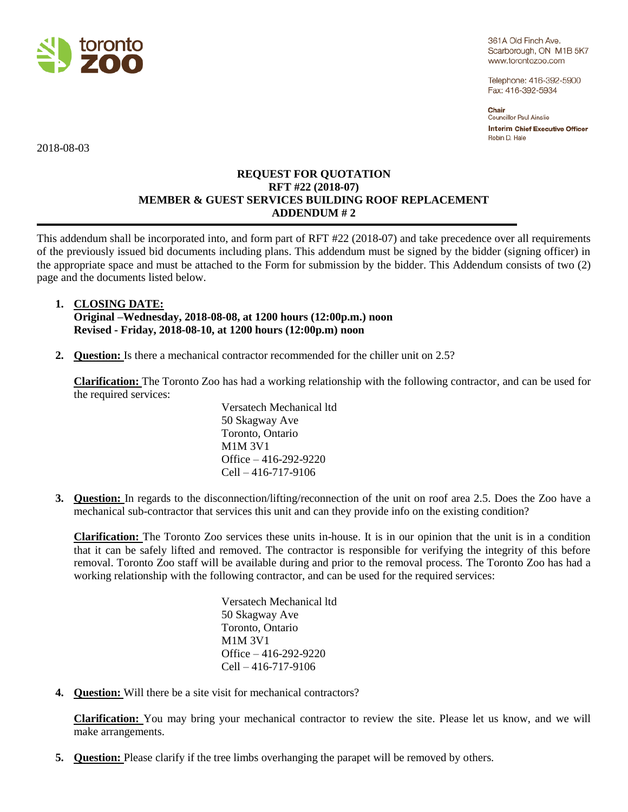

361A Old Finch Ave. Scarborough, ON M1B 5K7 www.torontozoo.com

Telephone: 416-392-5900 Fax: 416-392-5934

Chair Councillor Paul Ainslie **Interim Chief Executive Officer** Robin D. Hale

2018-08-03

## **REQUEST FOR QUOTATION RFT #22 (2018-07) MEMBER & GUEST SERVICES BUILDING ROOF REPLACEMENT ADDENDUM # 2**

This addendum shall be incorporated into, and form part of RFT #22 (2018-07) and take precedence over all requirements of the previously issued bid documents including plans. This addendum must be signed by the bidder (signing officer) in the appropriate space and must be attached to the Form for submission by the bidder. This Addendum consists of two (2) page and the documents listed below.

## **1. CLOSING DATE: Original –Wednesday, 2018-08-08, at 1200 hours (12:00p.m.) noon Revised - Friday, 2018-08-10, at 1200 hours (12:00p.m) noon**

**2. Question:** Is there a mechanical contractor recommended for the chiller unit on 2.5?

**Clarification:** The Toronto Zoo has had a working relationship with the following contractor, and can be used for the required services:

> Versatech Mechanical ltd 50 Skagway Ave Toronto, Ontario M1M 3V1 Office – 416-292-9220 Cell – 416-717-9106

**3. Question:** In regards to the disconnection/lifting/reconnection of the unit on roof area 2.5. Does the Zoo have a mechanical sub-contractor that services this unit and can they provide info on the existing condition?

**Clarification:** The Toronto Zoo services these units in-house. It is in our opinion that the unit is in a condition that it can be safely lifted and removed. The contractor is responsible for verifying the integrity of this before removal. Toronto Zoo staff will be available during and prior to the removal process. The Toronto Zoo has had a working relationship with the following contractor, and can be used for the required services:

> Versatech Mechanical ltd 50 Skagway Ave Toronto, Ontario M1M 3V1 Office – 416-292-9220 Cell – 416-717-9106

**4. Question:** Will there be a site visit for mechanical contractors?

**Clarification:** You may bring your mechanical contractor to review the site. Please let us know, and we will make arrangements.

**5. Question:** Please clarify if the tree limbs overhanging the parapet will be removed by others.